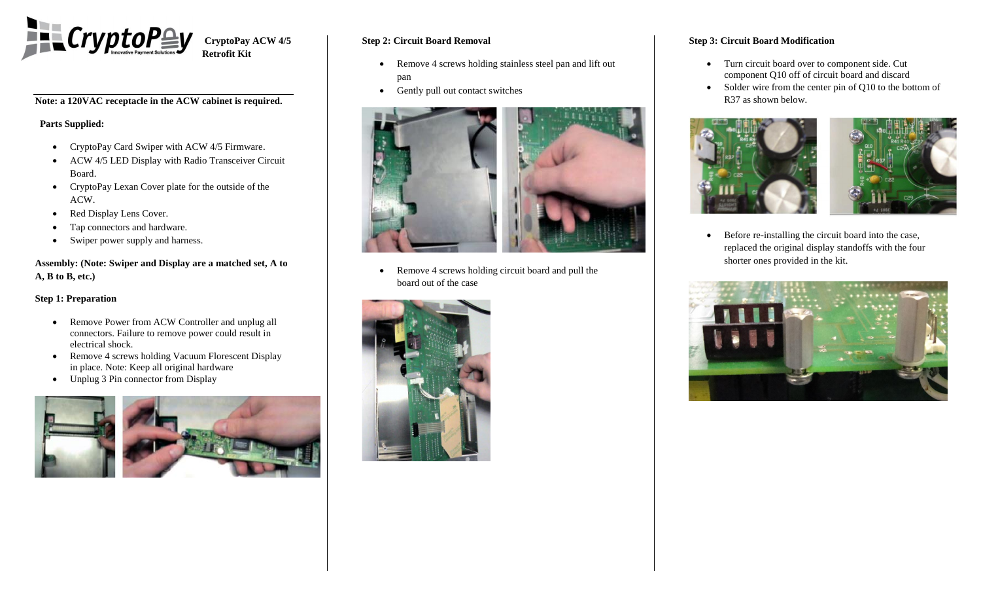

**Note: a 120VAC receptacle in the ACW cabinet is required.**

# **Parts Supplied:**

- CryptoPay Card Swiper with ACW 4/5 Firmware.
- ACW 4/5 LED Display with Radio Transceiver Circuit Board.
- CryptoPay Lexan Cover plate for the outside of the ACW.
- Red Display Lens Cover.
- Tap connectors and hardware.
- Swiper power supply and harness.

**Assembly: (Note: Swiper and Display are a matched set, A to A, B to B, etc.)**

### **Step 1: Preparation**

- Remove Power from ACW Controller and unplug all connectors. Failure to remove power could result in electrical shock.
- Remove 4 screws holding Vacuum Florescent Display in place. Note: Keep all original hardware
- Unplug 3 Pin connector from Display



# **Step 2: Circuit Board Removal**

- Remove 4 screws holding stainless steel pan and lift out pan
- Gently pull out contact switches



• Remove 4 screws holding circuit board and pull the board out of the case



## **Step 3: Circuit Board Modification**

- Turn circuit board over to component side. Cut component Q10 off of circuit board and discard
- Solder wire from the center pin of Q10 to the bottom of R37 as shown below.



 Before re-installing the circuit board into the case, replaced the original display standoffs with the four shorter ones provided in the kit.